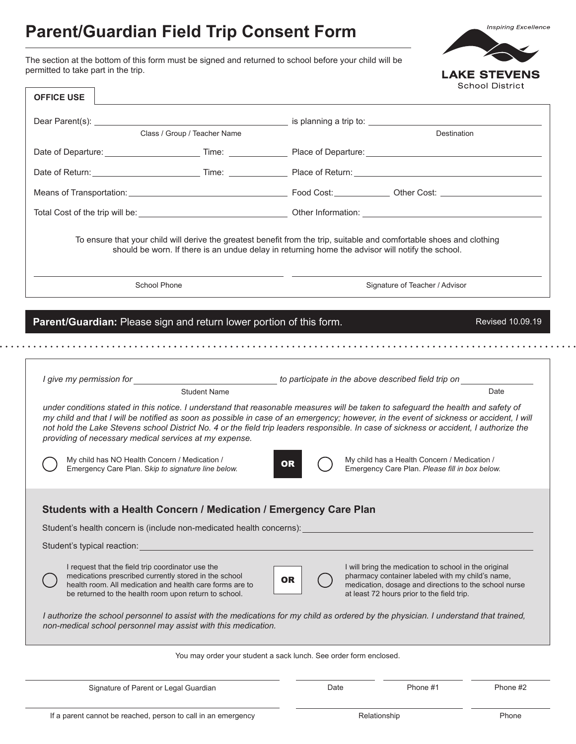# **Parent/Guardian Field Trip Consent Form**

The section at the bottom of this form must be signed and returned to school before your child will be permitted to take part in the trip.



**Inspiring Excellence** 

 $\cdots$ 

| <b>OFFICE USE</b>                                                                                                                                                                                                                                                                                                                                                                                                                                                                 |                                                                                                                                                                                                                                 |           |                                                                                                                                                                                                                  | סטווטטו דיסוויטנ |  |  |
|-----------------------------------------------------------------------------------------------------------------------------------------------------------------------------------------------------------------------------------------------------------------------------------------------------------------------------------------------------------------------------------------------------------------------------------------------------------------------------------|---------------------------------------------------------------------------------------------------------------------------------------------------------------------------------------------------------------------------------|-----------|------------------------------------------------------------------------------------------------------------------------------------------------------------------------------------------------------------------|------------------|--|--|
|                                                                                                                                                                                                                                                                                                                                                                                                                                                                                   |                                                                                                                                                                                                                                 |           |                                                                                                                                                                                                                  |                  |  |  |
|                                                                                                                                                                                                                                                                                                                                                                                                                                                                                   | Class / Group / Teacher Name                                                                                                                                                                                                    |           | <b>Destination</b>                                                                                                                                                                                               |                  |  |  |
|                                                                                                                                                                                                                                                                                                                                                                                                                                                                                   |                                                                                                                                                                                                                                 |           |                                                                                                                                                                                                                  |                  |  |  |
|                                                                                                                                                                                                                                                                                                                                                                                                                                                                                   | Date of Return: <u>Contract Communication of Time:</u> Place of Return:                                                                                                                                                         |           |                                                                                                                                                                                                                  |                  |  |  |
|                                                                                                                                                                                                                                                                                                                                                                                                                                                                                   |                                                                                                                                                                                                                                 |           |                                                                                                                                                                                                                  |                  |  |  |
|                                                                                                                                                                                                                                                                                                                                                                                                                                                                                   |                                                                                                                                                                                                                                 |           |                                                                                                                                                                                                                  |                  |  |  |
| To ensure that your child will derive the greatest benefit from the trip, suitable and comfortable shoes and clothing<br>should be worn. If there is an undue delay in returning home the advisor will notify the school.<br>School Phone<br>Signature of Teacher / Advisor                                                                                                                                                                                                       |                                                                                                                                                                                                                                 |           |                                                                                                                                                                                                                  |                  |  |  |
|                                                                                                                                                                                                                                                                                                                                                                                                                                                                                   |                                                                                                                                                                                                                                 |           |                                                                                                                                                                                                                  |                  |  |  |
|                                                                                                                                                                                                                                                                                                                                                                                                                                                                                   | Parent/Guardian: Please sign and return lower portion of this form.                                                                                                                                                             |           |                                                                                                                                                                                                                  | Revised 10.09.19 |  |  |
|                                                                                                                                                                                                                                                                                                                                                                                                                                                                                   |                                                                                                                                                                                                                                 |           |                                                                                                                                                                                                                  |                  |  |  |
|                                                                                                                                                                                                                                                                                                                                                                                                                                                                                   |                                                                                                                                                                                                                                 |           |                                                                                                                                                                                                                  |                  |  |  |
|                                                                                                                                                                                                                                                                                                                                                                                                                                                                                   | I give my permission for <b>the end of the second of the second of the second of the above described field trip on</b><br><b>Student Name</b>                                                                                   |           |                                                                                                                                                                                                                  | Date             |  |  |
| under conditions stated in this notice. I understand that reasonable measures will be taken to safeguard the health and safety of<br>my child and that I will be notified as soon as possible in case of an emergency; however, in the event of sickness or accident, I will<br>not hold the Lake Stevens school District No. 4 or the field trip leaders responsible. In case of sickness or accident, I authorize the<br>providing of necessary medical services at my expense. |                                                                                                                                                                                                                                 |           |                                                                                                                                                                                                                  |                  |  |  |
|                                                                                                                                                                                                                                                                                                                                                                                                                                                                                   | My child has NO Health Concern / Medication /<br>Emergency Care Plan. Skip to signature line below.                                                                                                                             | <b>OR</b> | My child has a Health Concern / Medication /<br>Emergency Care Plan. Please fill in box below.                                                                                                                   |                  |  |  |
|                                                                                                                                                                                                                                                                                                                                                                                                                                                                                   | Students with a Health Concern / Medication / Emergency Care Plan                                                                                                                                                               |           |                                                                                                                                                                                                                  |                  |  |  |
|                                                                                                                                                                                                                                                                                                                                                                                                                                                                                   | Student's health concern is (include non-medicated health concerns):                                                                                                                                                            |           |                                                                                                                                                                                                                  |                  |  |  |
| Student's typical reaction:                                                                                                                                                                                                                                                                                                                                                                                                                                                       |                                                                                                                                                                                                                                 |           |                                                                                                                                                                                                                  |                  |  |  |
|                                                                                                                                                                                                                                                                                                                                                                                                                                                                                   | I request that the field trip coordinator use the<br>medications prescribed currently stored in the school<br>health room. All medication and health care forms are to<br>be returned to the health room upon return to school. | <b>OR</b> | I will bring the medication to school in the original<br>pharmacy container labeled with my child's name,<br>medication, dosage and directions to the school nurse<br>at least 72 hours prior to the field trip. |                  |  |  |
| I authorize the school personnel to assist with the medications for my child as ordered by the physician. I understand that trained,<br>non-medical school personnel may assist with this medication.                                                                                                                                                                                                                                                                             |                                                                                                                                                                                                                                 |           |                                                                                                                                                                                                                  |                  |  |  |
| You may order your student a sack lunch. See order form enclosed.                                                                                                                                                                                                                                                                                                                                                                                                                 |                                                                                                                                                                                                                                 |           |                                                                                                                                                                                                                  |                  |  |  |
|                                                                                                                                                                                                                                                                                                                                                                                                                                                                                   | Signature of Parent or Legal Guardian                                                                                                                                                                                           | Date      | Phone #1                                                                                                                                                                                                         | Phone #2         |  |  |